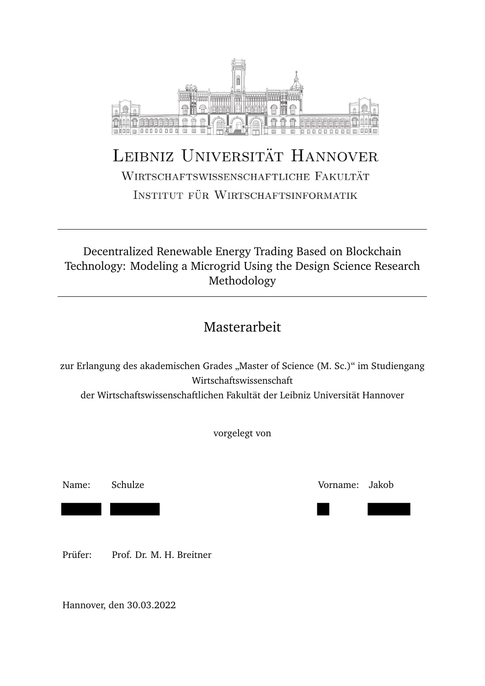

# LEIBNIZ UNIVERSITÄT HANNOVER WIRTSCHAFTSWISSENSCHAFTLICHE FAKULTÄT

INSTITUT FÜR WIRTSCHAFTSINFORMATIK

#### **Decentralized Renewable Energy Systems in**  Technology: Modeling a Microgrid Using the Design Science Research **System** Decentralized Renewable Energy Trading Based on Blockchain Methodology

#### Masterarbeit Masterarbeit

zur Erlangung des akademischen Grades "Master of Science (M. Sc.)" im Studiengang zur Erlangung des akademischen Grades "Master of Science (M. Sc.)" im Studiengang Wirtschaftswissenschaft

der Wirtschaftswissenschaftlichen Fakultät der Leibniz Universität Hannover

vorgelegt von

Name: Schulze Vorname: Jakob

Prüfer: Prof. Dr. M. H. Breitner

Hannover, den 30.03.2022

Vorname: Dan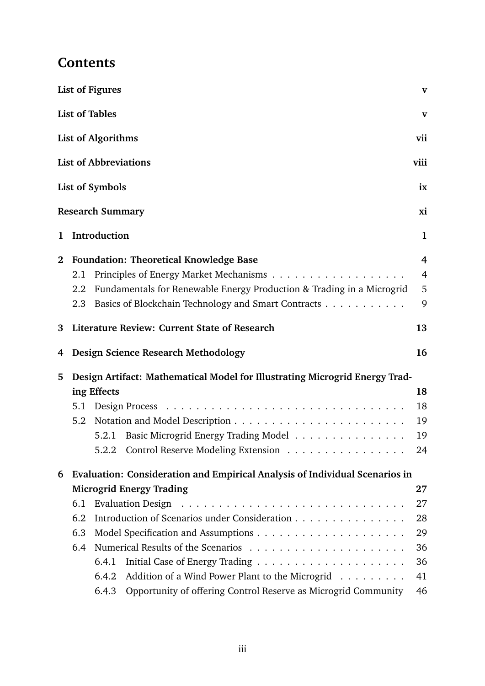## **Contents**

|          |                                                                             | <b>List of Figures</b>                             |                                                                       | $\mathbf{V}$   |  |  |
|----------|-----------------------------------------------------------------------------|----------------------------------------------------|-----------------------------------------------------------------------|----------------|--|--|
|          |                                                                             | <b>List of Tables</b>                              |                                                                       | $\mathbf{V}$   |  |  |
|          |                                                                             | <b>List of Algorithms</b>                          |                                                                       | vii            |  |  |
|          |                                                                             | <b>List of Abbreviations</b>                       |                                                                       | viii           |  |  |
|          |                                                                             | <b>List of Symbols</b>                             |                                                                       | ix             |  |  |
|          |                                                                             | <b>Research Summary</b>                            |                                                                       | xi             |  |  |
| 1        |                                                                             | Introduction                                       |                                                                       | $\mathbf{1}$   |  |  |
| $\bf{2}$ | <b>Foundation: Theoretical Knowledge Base</b>                               |                                                    |                                                                       |                |  |  |
|          | 2.1                                                                         |                                                    |                                                                       | $\overline{4}$ |  |  |
|          | 2.2                                                                         |                                                    | Fundamentals for Renewable Energy Production & Trading in a Microgrid | 5              |  |  |
|          | 2.3                                                                         |                                                    | Basics of Blockchain Technology and Smart Contracts                   | 9              |  |  |
| 3        |                                                                             | Literature Review: Current State of Research<br>13 |                                                                       |                |  |  |
| 4        |                                                                             |                                                    | Design Science Research Methodology                                   | 16             |  |  |
| 5        | Design Artifact: Mathematical Model for Illustrating Microgrid Energy Trad- |                                                    |                                                                       |                |  |  |
|          | ing Effects                                                                 |                                                    |                                                                       |                |  |  |
|          | 5.1                                                                         |                                                    |                                                                       | 18             |  |  |
|          | 5.2                                                                         |                                                    |                                                                       | 19             |  |  |
|          |                                                                             |                                                    | 5.2.1 Basic Microgrid Energy Trading Model                            | 19             |  |  |
|          |                                                                             |                                                    | 5.2.2 Control Reserve Modeling Extension                              | 24             |  |  |
| 6        | Evaluation: Consideration and Empirical Analysis of Individual Scenarios in |                                                    |                                                                       |                |  |  |
|          |                                                                             | <b>Microgrid Energy Trading</b>                    |                                                                       |                |  |  |
|          | 6.1                                                                         |                                                    |                                                                       |                |  |  |
|          | 6.2                                                                         | Introduction of Scenarios under Consideration      |                                                                       |                |  |  |
|          | 6.3                                                                         |                                                    |                                                                       |                |  |  |
|          | 6.4                                                                         |                                                    |                                                                       |                |  |  |
|          |                                                                             | 6.4.1                                              |                                                                       | 36             |  |  |
|          |                                                                             | 6.4.2                                              | Addition of a Wind Power Plant to the Microgrid                       | 41             |  |  |
|          |                                                                             | 6.4.3                                              | Opportunity of offering Control Reserve as Microgrid Community        | 46             |  |  |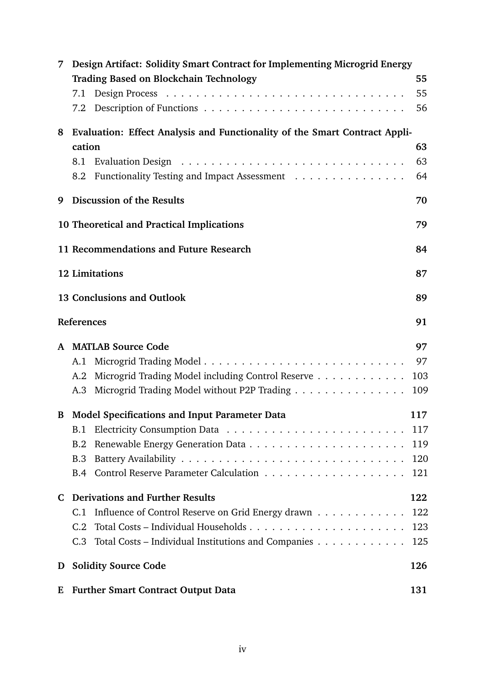| 7 | Design Artifact: Solidity Smart Contract for Implementing Microgrid Energy<br><b>Trading Based on Blockchain Technology</b> | 55       |  |
|---|-----------------------------------------------------------------------------------------------------------------------------|----------|--|
|   | 7.1                                                                                                                         | 55<br>56 |  |
| 8 | Evaluation: Effect Analysis and Functionality of the Smart Contract Appli-                                                  |          |  |
|   | cation                                                                                                                      | 63       |  |
|   | 8.1<br>8.2 Functionality Testing and Impact Assessment                                                                      | 63<br>64 |  |
| 9 | Discussion of the Results                                                                                                   | 70       |  |
|   | 10 Theoretical and Practical Implications                                                                                   | 79       |  |
|   | 11 Recommendations and Future Research                                                                                      | 84       |  |
|   | <b>12 Limitations</b>                                                                                                       | 87       |  |
|   | <b>13 Conclusions and Outlook</b>                                                                                           | 89       |  |
|   | References                                                                                                                  | 91       |  |
|   | A MATLAB Source Code                                                                                                        | 97       |  |
|   | A.1                                                                                                                         | 97       |  |
|   | Microgrid Trading Model including Control Reserve<br>A.2                                                                    | 103      |  |
|   | Microgrid Trading Model without P2P Trading<br>A.3                                                                          | 109      |  |
|   | <b>B</b> Model Specifications and Input Parameter Data                                                                      | 117      |  |
|   | B.1                                                                                                                         | 117      |  |
|   | B.2                                                                                                                         | 119      |  |
|   | <b>B.3</b>                                                                                                                  | 120      |  |
|   |                                                                                                                             | 121      |  |
| C | <b>Derivations and Further Results</b>                                                                                      | 122      |  |
|   | Influence of Control Reserve on Grid Energy drawn<br>C.1                                                                    | 122      |  |
|   | C.2                                                                                                                         | 123      |  |
|   | C.3 Total Costs – Individual Institutions and Companies                                                                     | 125      |  |
| D | <b>Solidity Source Code</b><br>126                                                                                          |          |  |
| E | <b>Further Smart Contract Output Data</b><br>131                                                                            |          |  |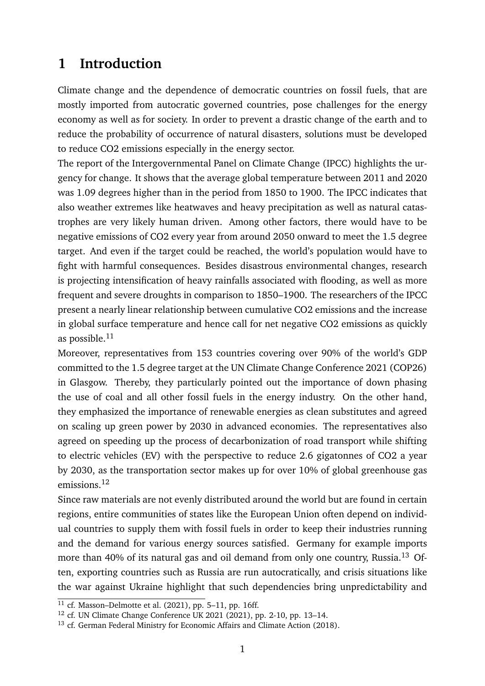## <span id="page-3-0"></span>**1 Introduction**

Climate change and the dependence of democratic countries on fossil fuels, that are mostly imported from autocratic governed countries, pose challenges for the energy economy as well as for society. In order to prevent a drastic change of the earth and to reduce the probability of occurrence of natural disasters, solutions must be developed to reduce CO2 emissions especially in the energy sector.

The report of the Intergovernmental Panel on Climate Change (IPCC) highlights the urgency for change. It shows that the average global temperature between 2011 and 2020 was 1.09 degrees higher than in the period from 1850 to 1900. The IPCC indicates that also weather extremes like heatwaves and heavy precipitation as well as natural catastrophes are very likely human driven. Among other factors, there would have to be negative emissions of CO2 every year from around 2050 onward to meet the 1.5 degree target. And even if the target could be reached, the world's population would have to fight with harmful consequences. Besides disastrous environmental changes, research is projecting intensification of heavy rainfalls associated with flooding, as well as more frequent and severe droughts in comparison to 1850–1900. The researchers of the IPCC present a nearly linear relationship between cumulative CO2 emissions and the increase in global surface temperature and hence call for net negative CO2 emissions as quickly as possible. $11$ 

Moreover, representatives from 153 countries covering over 90% of the world's GDP committed to the 1.5 degree target at the UN Climate Change Conference 2021 (COP26) in Glasgow. Thereby, they particularly pointed out the importance of down phasing the use of coal and all other fossil fuels in the energy industry. On the other hand, they emphasized the importance of renewable energies as clean substitutes and agreed on scaling up green power by 2030 in advanced economies. The representatives also agreed on speeding up the process of decarbonization of road transport while shifting to electric vehicles (EV) with the perspective to reduce 2.6 gigatonnes of CO2 a year by 2030, as the transportation sector makes up for over 10% of global greenhouse gas emissions.[12](#page-3-2)

Since raw materials are not evenly distributed around the world but are found in certain regions, entire communities of states like the European Union often depend on individual countries to supply them with fossil fuels in order to keep their industries running and the demand for various energy sources satisfied. Germany for example imports more than 40% of its natural gas and oil demand from only one country, Russia.<sup>[13](#page-3-3)</sup> Often, exporting countries such as Russia are run autocratically, and crisis situations like the war against Ukraine highlight that such dependencies bring unpredictability and

<span id="page-3-1"></span> $11$  cf. Masson–Delmotte et al. [\(2021\)](#page--1-16), pp. 5–11, pp. 16ff.

<span id="page-3-2"></span><sup>12</sup> cf. UN Climate Change Conference UK 2021 [\(2021\)](#page--1-17), pp. 2-10, pp. 13–14.

<span id="page-3-3"></span><sup>&</sup>lt;sup>13</sup> cf. German Federal Ministry for Economic Affairs and Climate Action [\(2018\)](#page--1-18).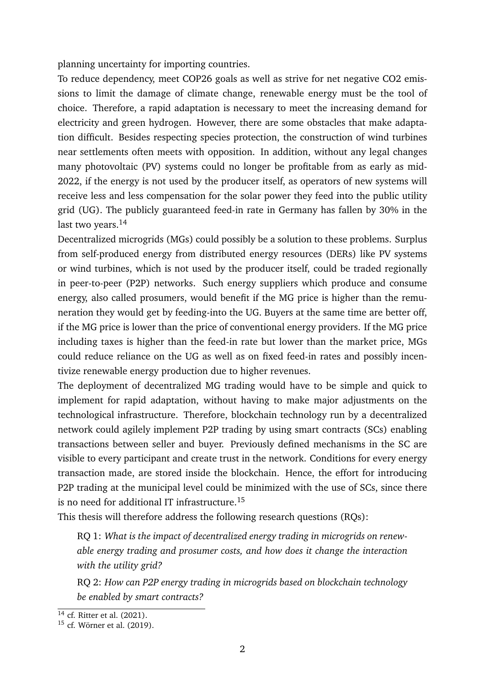planning uncertainty for importing countries.

To reduce dependency, meet COP26 goals as well as strive for net negative CO2 emissions to limit the damage of climate change, renewable energy must be the tool of choice. Therefore, a rapid adaptation is necessary to meet the increasing demand for electricity and green hydrogen. However, there are some obstacles that make adaptation difficult. Besides respecting species protection, the construction of wind turbines near settlements often meets with opposition. In addition, without any legal changes many photovoltaic (PV) systems could no longer be profitable from as early as mid-2022, if the energy is not used by the producer itself, as operators of new systems will receive less and less compensation for the solar power they feed into the public utility grid (UG). The publicly guaranteed feed-in rate in Germany has fallen by 30% in the last two years.<sup>[14](#page-4-0)</sup>

Decentralized microgrids (MGs) could possibly be a solution to these problems. Surplus from self-produced energy from distributed energy resources (DERs) like PV systems or wind turbines, which is not used by the producer itself, could be traded regionally in peer-to-peer (P2P) networks. Such energy suppliers which produce and consume energy, also called prosumers, would benefit if the MG price is higher than the remuneration they would get by feeding-into the UG. Buyers at the same time are better off, if the MG price is lower than the price of conventional energy providers. If the MG price including taxes is higher than the feed-in rate but lower than the market price, MGs could reduce reliance on the UG as well as on fixed feed-in rates and possibly incentivize renewable energy production due to higher revenues.

The deployment of decentralized MG trading would have to be simple and quick to implement for rapid adaptation, without having to make major adjustments on the technological infrastructure. Therefore, blockchain technology run by a decentralized network could agilely implement P2P trading by using smart contracts (SCs) enabling transactions between seller and buyer. Previously defined mechanisms in the SC are visible to every participant and create trust in the network. Conditions for every energy transaction made, are stored inside the blockchain. Hence, the effort for introducing P2P trading at the municipal level could be minimized with the use of SCs, since there is no need for additional IT infrastructure.<sup>[15](#page-4-1)</sup>

This thesis will therefore address the following research questions (RQs):

RQ 1: *What is the impact of decentralized energy trading in microgrids on renewable energy trading and prosumer costs, and how does it change the interaction with the utility grid?*

RQ 2: *How can P2P energy trading in microgrids based on blockchain technology be enabled by smart contracts?*

<span id="page-4-0"></span><sup>14</sup> cf. Ritter et al. [\(2021\)](#page--1-2).

<span id="page-4-1"></span><sup>15</sup> cf. Wörner et al. [\(2019\)](#page--1-19).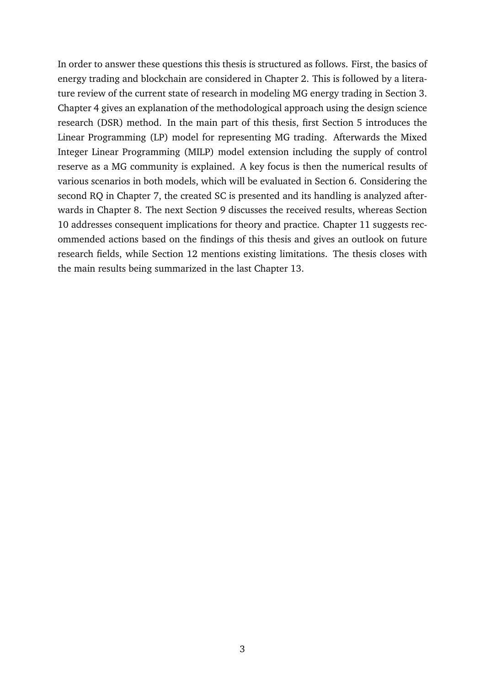In order to answer these questions this thesis is structured as follows. First, the basics of energy trading and blockchain are considered in Chapter [2.](#page--1-2) This is followed by a literature review of the current state of research in modeling MG energy trading in Section [3.](#page--1-2) Chapter [4](#page--1-2) gives an explanation of the methodological approach using the design science research (DSR) method. In the main part of this thesis, first Section [5](#page--1-2) introduces the Linear Programming (LP) model for representing MG trading. Afterwards the Mixed Integer Linear Programming (MILP) model extension including the supply of control reserve as a MG community is explained. A key focus is then the numerical results of various scenarios in both models, which will be evaluated in Section [6.](#page--1-2) Considering the second RQ in Chapter [7,](#page--1-2) the created SC is presented and its handling is analyzed afterwards in Chapter [8.](#page--1-2) The next Section [9](#page--1-2) discusses the received results, whereas Section [10](#page--1-2) addresses consequent implications for theory and practice. Chapter [11](#page--1-2) suggests recommended actions based on the findings of this thesis and gives an outlook on future research fields, while Section [12](#page--1-2) mentions existing limitations. The thesis closes with the main results being summarized in the last Chapter [13.](#page-6-0)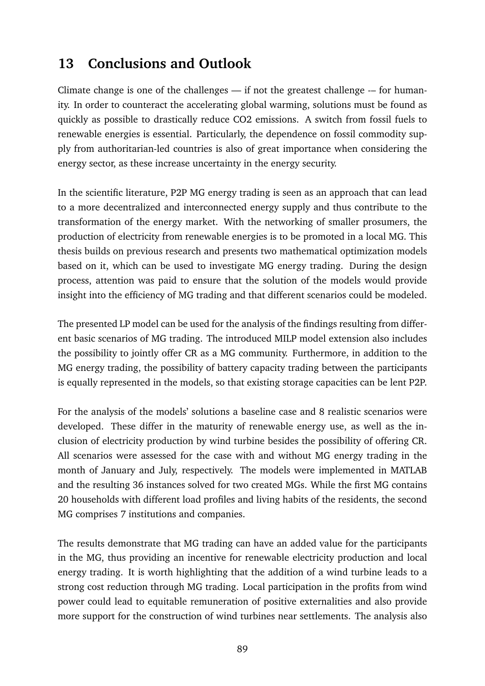## <span id="page-6-0"></span>**13 Conclusions and Outlook**

Climate change is one of the challenges  $-$  if not the greatest challenge  $-$  for humanity. In order to counteract the accelerating global warming, solutions must be found as quickly as possible to drastically reduce CO2 emissions. A switch from fossil fuels to renewable energies is essential. Particularly, the dependence on fossil commodity supply from authoritarian-led countries is also of great importance when considering the energy sector, as these increase uncertainty in the energy security.

In the scientific literature, P2P MG energy trading is seen as an approach that can lead to a more decentralized and interconnected energy supply and thus contribute to the transformation of the energy market. With the networking of smaller prosumers, the production of electricity from renewable energies is to be promoted in a local MG. This thesis builds on previous research and presents two mathematical optimization models based on it, which can be used to investigate MG energy trading. During the design process, attention was paid to ensure that the solution of the models would provide insight into the efficiency of MG trading and that different scenarios could be modeled.

The presented LP model can be used for the analysis of the findings resulting from different basic scenarios of MG trading. The introduced MILP model extension also includes the possibility to jointly offer CR as a MG community. Furthermore, in addition to the MG energy trading, the possibility of battery capacity trading between the participants is equally represented in the models, so that existing storage capacities can be lent P2P.

For the analysis of the models' solutions a baseline case and 8 realistic scenarios were developed. These differ in the maturity of renewable energy use, as well as the inclusion of electricity production by wind turbine besides the possibility of offering CR. All scenarios were assessed for the case with and without MG energy trading in the month of January and July, respectively. The models were implemented in MATLAB and the resulting 36 instances solved for two created MGs. While the first MG contains 20 households with different load profiles and living habits of the residents, the second MG comprises 7 institutions and companies.

The results demonstrate that MG trading can have an added value for the participants in the MG, thus providing an incentive for renewable electricity production and local energy trading. It is worth highlighting that the addition of a wind turbine leads to a strong cost reduction through MG trading. Local participation in the profits from wind power could lead to equitable remuneration of positive externalities and also provide more support for the construction of wind turbines near settlements. The analysis also